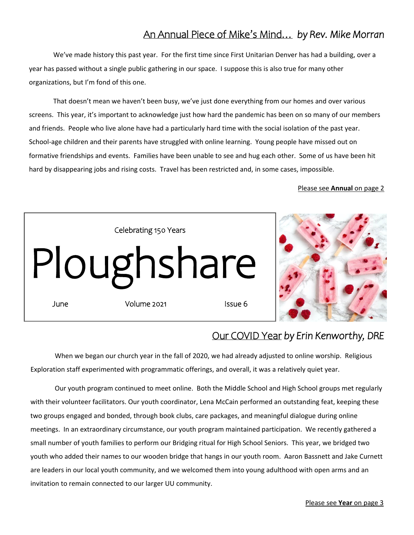# An Annual Piece of Mike's Mind… *by Rev. Mike Morran*

We've made history this past year. For the first time since First Unitarian Denver has had a building, over a year has passed without a single public gathering in our space. I suppose this is also true for many other organizations, but I'm fond of this one.

That doesn't mean we haven't been busy, we've just done everything from our homes and over various screens. This year, it's important to acknowledge just how hard the pandemic has been on so many of our members and friends. People who live alone have had a particularly hard time with the social isolation of the past year. School-age children and their parents have struggled with online learning. Young people have missed out on formative friendships and events. Families have been unable to see and hug each other. Some of us have been hit hard by disappearing jobs and rising costs. Travel has been restricted and, in some cases, impossible.

## Please see **Annual** on page 2



# Our COVID Year *by Erin Kenworthy, DRE*

When we began our church year in the fall of 2020, we had already adjusted to online worship. Religious Exploration staff experimented with programmatic offerings, and overall, it was a relatively quiet year.

Our youth program continued to meet online. Both the Middle School and High School groups met regularly with their volunteer facilitators. Our youth coordinator, Lena McCain performed an outstanding feat, keeping these two groups engaged and bonded, through book clubs, care packages, and meaningful dialogue during online meetings. In an extraordinary circumstance, our youth program maintained participation. We recently gathered a small number of youth families to perform our Bridging ritual for High School Seniors. This year, we bridged two youth who added their names to our wooden bridge that hangs in our youth room. Aaron Bassnett and Jake Curnett are leaders in our local youth community, and we welcomed them into young adulthood with open arms and an invitation to remain connected to our larger UU community.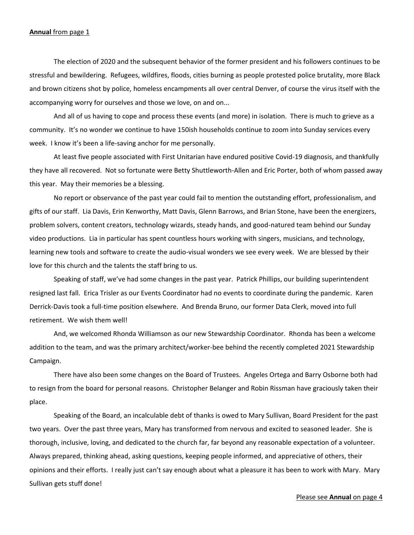#### **Annual** from page 1

The election of 2020 and the subsequent behavior of the former president and his followers continues to be stressful and bewildering. Refugees, wildfires, floods, cities burning as people protested police brutality, more Black and brown citizens shot by police, homeless encampments all over central Denver, of course the virus itself with the accompanying worry for ourselves and those we love, on and on...

And all of us having to cope and process these events (and more) in isolation. There is much to grieve as a community. It's no wonder we continue to have 150ish households continue to zoom into Sunday services every week. I know it's been a life-saving anchor for me personally.

At least five people associated with First Unitarian have endured positive Covid-19 diagnosis, and thankfully they have all recovered. Not so fortunate were Betty Shuttleworth-Allen and Eric Porter, both of whom passed away this year. May their memories be a blessing.

No report or observance of the past year could fail to mention the outstanding effort, professionalism, and gifts of our staff. Lia Davis, Erin Kenworthy, Matt Davis, Glenn Barrows, and Brian Stone, have been the energizers, problem solvers, content creators, technology wizards, steady hands, and good-natured team behind our Sunday video productions. Lia in particular has spent countless hours working with singers, musicians, and technology, learning new tools and software to create the audio-visual wonders we see every week. We are blessed by their love for this church and the talents the staff bring to us.

Speaking of staff, we've had some changes in the past year. Patrick Phillips, our building superintendent resigned last fall. Erica Trisler as our Events Coordinator had no events to coordinate during the pandemic. Karen Derrick-Davis took a full-time position elsewhere. And Brenda Bruno, our former Data Clerk, moved into full retirement. We wish them well!

And, we welcomed Rhonda Williamson as our new Stewardship Coordinator. Rhonda has been a welcome addition to the team, and was the primary architect/worker-bee behind the recently completed 2021 Stewardship Campaign.

There have also been some changes on the Board of Trustees. Angeles Ortega and Barry Osborne both had to resign from the board for personal reasons. Christopher Belanger and Robin Rissman have graciously taken their place.

Speaking of the Board, an incalculable debt of thanks is owed to Mary Sullivan, Board President for the past two years. Over the past three years, Mary has transformed from nervous and excited to seasoned leader. She is thorough, inclusive, loving, and dedicated to the church far, far beyond any reasonable expectation of a volunteer. Always prepared, thinking ahead, asking questions, keeping people informed, and appreciative of others, their opinions and their efforts. I really just can't say enough about what a pleasure it has been to work with Mary. Mary Sullivan gets stuff done!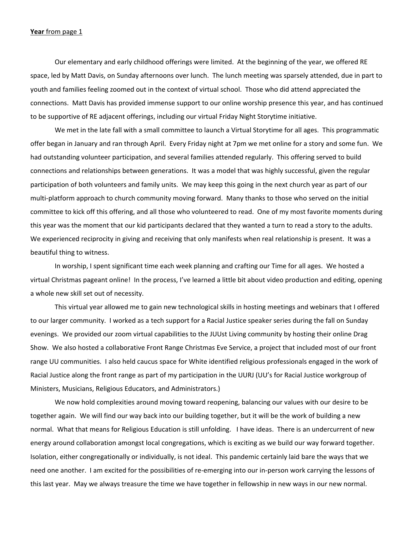#### **Year** from page 1

Our elementary and early childhood offerings were limited. At the beginning of the year, we offered RE space, led by Matt Davis, on Sunday afternoons over lunch. The lunch meeting was sparsely attended, due in part to youth and families feeling zoomed out in the context of virtual school. Those who did attend appreciated the connections. Matt Davis has provided immense support to our online worship presence this year, and has continued to be supportive of RE adjacent offerings, including our virtual Friday Night Storytime initiative.

We met in the late fall with a small committee to launch a Virtual Storytime for all ages. This programmatic offer began in January and ran through April. Every Friday night at 7pm we met online for a story and some fun. We had outstanding volunteer participation, and several families attended regularly. This offering served to build connections and relationships between generations. It was a model that was highly successful, given the regular participation of both volunteers and family units. We may keep this going in the next church year as part of our multi-platform approach to church community moving forward. Many thanks to those who served on the initial committee to kick off this offering, and all those who volunteered to read. One of my most favorite moments during this year was the moment that our kid participants declared that they wanted a turn to read a story to the adults. We experienced reciprocity in giving and receiving that only manifests when real relationship is present. It was a beautiful thing to witness.

In worship, I spent significant time each week planning and crafting our Time for all ages. We hosted a virtual Christmas pageant online! In the process, I've learned a little bit about video production and editing, opening a whole new skill set out of necessity.

This virtual year allowed me to gain new technological skills in hosting meetings and webinars that I offered to our larger community. I worked as a tech support for a Racial Justice speaker series during the fall on Sunday evenings. We provided our zoom virtual capabilities to the JUUst Living community by hosting their online Drag Show. We also hosted a collaborative Front Range Christmas Eve Service, a project that included most of our front range UU communities. I also held caucus space for White identified religious professionals engaged in the work of Racial Justice along the front range as part of my participation in the UURJ (UU's for Racial Justice workgroup of Ministers, Musicians, Religious Educators, and Administrators.)

We now hold complexities around moving toward reopening, balancing our values with our desire to be together again. We will find our way back into our building together, but it will be the work of building a new normal. What that means for Religious Education is still unfolding. I have ideas. There is an undercurrent of new energy around collaboration amongst local congregations, which is exciting as we build our way forward together. Isolation, either congregationally or individually, is not ideal. This pandemic certainly laid bare the ways that we need one another. I am excited for the possibilities of re-emerging into our in-person work carrying the lessons of this last year. May we always treasure the time we have together in fellowship in new ways in our new normal.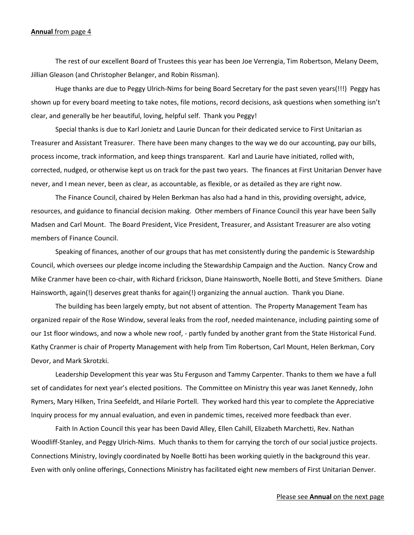### **Annual** from page 4

The rest of our excellent Board of Trustees this year has been Joe Verrengia, Tim Robertson, Melany Deem, Jillian Gleason (and Christopher Belanger, and Robin Rissman).

 Huge thanks are due to Peggy Ulrich-Nims for being Board Secretary for the past seven years(!!!) Peggy has shown up for every board meeting to take notes, file motions, record decisions, ask questions when something isn't clear, and generally be her beautiful, loving, helpful self. Thank you Peggy!

 Special thanks is due to Karl Jonietz and Laurie Duncan for their dedicated service to First Unitarian as Treasurer and Assistant Treasurer. There have been many changes to the way we do our accounting, pay our bills, process income, track information, and keep things transparent. Karl and Laurie have initiated, rolled with, corrected, nudged, or otherwise kept us on track for the past two years. The finances at First Unitarian Denver have never, and I mean never, been as clear, as accountable, as flexible, or as detailed as they are right now.

 The Finance Council, chaired by Helen Berkman has also had a hand in this, providing oversight, advice, resources, and guidance to financial decision making. Other members of Finance Council this year have been Sally Madsen and Carl Mount. The Board President, Vice President, Treasurer, and Assistant Treasurer are also voting members of Finance Council.

 Speaking of finances, another of our groups that has met consistently during the pandemic is Stewardship Council, which oversees our pledge income including the Stewardship Campaign and the Auction. Nancy Crow and Mike Cranmer have been co-chair, with Richard Erickson, Diane Hainsworth, Noelle Botti, and Steve Smithers. Diane Hainsworth, again(!) deserves great thanks for again(!) organizing the annual auction. Thank you Diane.

 The building has been largely empty, but not absent of attention. The Property Management Team has organized repair of the Rose Window, several leaks from the roof, needed maintenance, including painting some of our 1st floor windows, and now a whole new roof, - partly funded by another grant from the State Historical Fund. Kathy Cranmer is chair of Property Management with help from Tim Robertson, Carl Mount, Helen Berkman, Cory Devor, and Mark Skrotzki.

 Leadership Development this year was Stu Ferguson and Tammy Carpenter. Thanks to them we have a full set of candidates for next year's elected positions. The Committee on Ministry this year was Janet Kennedy, John Rymers, Mary Hilken, Trina Seefeldt, and Hilarie Portell. They worked hard this year to complete the Appreciative Inquiry process for my annual evaluation, and even in pandemic times, received more feedback than ever.

Faith In Action Council this year has been David Alley, Ellen Cahill, Elizabeth Marchetti, Rev. Nathan Woodliff-Stanley, and Peggy Ulrich-Nims. Much thanks to them for carrying the torch of our social justice projects. Connections Ministry, lovingly coordinated by Noelle Botti has been working quietly in the background this year. Even with only online offerings, Connections Ministry has facilitated eight new members of First Unitarian Denver.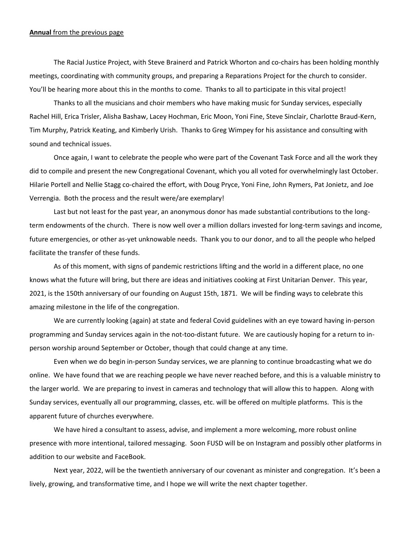#### **Annual** from the previous page

The Racial Justice Project, with Steve Brainerd and Patrick Whorton and co-chairs has been holding monthly meetings, coordinating with community groups, and preparing a Reparations Project for the church to consider. You'll be hearing more about this in the months to come. Thanks to all to participate in this vital project!

 Thanks to all the musicians and choir members who have making music for Sunday services, especially Rachel Hill, Erica Trisler, Alisha Bashaw, Lacey Hochman, Eric Moon, Yoni Fine, Steve Sinclair, Charlotte Braud-Kern, Tim Murphy, Patrick Keating, and Kimberly Urish. Thanks to Greg Wimpey for his assistance and consulting with sound and technical issues.

 Once again, I want to celebrate the people who were part of the Covenant Task Force and all the work they did to compile and present the new Congregational Covenant, which you all voted for overwhelmingly last October. Hilarie Portell and Nellie Stagg co-chaired the effort, with Doug Pryce, Yoni Fine, John Rymers, Pat Jonietz, and Joe Verrengia. Both the process and the result were/are exemplary!

 Last but not least for the past year, an anonymous donor has made substantial contributions to the longterm endowments of the church. There is now well over a million dollars invested for long-term savings and income, future emergencies, or other as-yet unknowable needs. Thank you to our donor, and to all the people who helped facilitate the transfer of these funds.

 As of this moment, with signs of pandemic restrictions lifting and the world in a different place, no one knows what the future will bring, but there are ideas and initiatives cooking at First Unitarian Denver. This year, 2021, is the 150th anniversary of our founding on August 15th, 1871. We will be finding ways to celebrate this amazing milestone in the life of the congregation.

 We are currently looking (again) at state and federal Covid guidelines with an eye toward having in-person programming and Sunday services again in the not-too-distant future. We are cautiously hoping for a return to inperson worship around September or October, though that could change at any time.

 Even when we do begin in-person Sunday services, we are planning to continue broadcasting what we do online. We have found that we are reaching people we have never reached before, and this is a valuable ministry to the larger world. We are preparing to invest in cameras and technology that will allow this to happen. Along with Sunday services, eventually all our programming, classes, etc. will be offered on multiple platforms. This is the apparent future of churches everywhere.

 We have hired a consultant to assess, advise, and implement a more welcoming, more robust online presence with more intentional, tailored messaging. Soon FUSD will be on Instagram and possibly other platforms in addition to our website and FaceBook.

 Next year, 2022, will be the twentieth anniversary of our covenant as minister and congregation. It's been a lively, growing, and transformative time, and I hope we will write the next chapter together.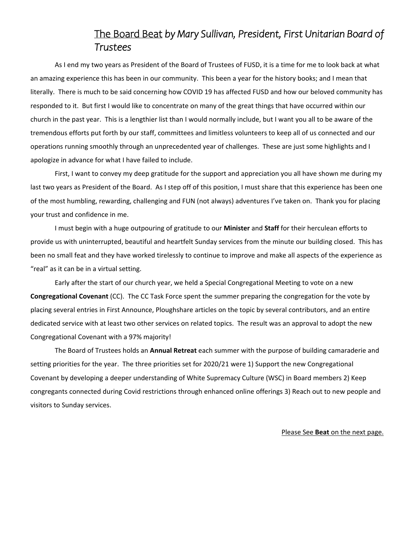# The Board Beat *by Mary Sullivan, President, First Unitarian Board of Trustees*

As I end my two years as President of the Board of Trustees of FUSD, it is a time for me to look back at what an amazing experience this has been in our community. This been a year for the history books; and I mean that literally. There is much to be said concerning how COVID 19 has affected FUSD and how our beloved community has responded to it. But first I would like to concentrate on many of the great things that have occurred within our church in the past year. This is a lengthier list than I would normally include, but I want you all to be aware of the tremendous efforts put forth by our staff, committees and limitless volunteers to keep all of us connected and our operations running smoothly through an unprecedented year of challenges. These are just some highlights and I apologize in advance for what I have failed to include.

First, I want to convey my deep gratitude for the support and appreciation you all have shown me during my last two years as President of the Board. As I step off of this position, I must share that this experience has been one of the most humbling, rewarding, challenging and FUN (not always) adventures I've taken on. Thank you for placing your trust and confidence in me.

I must begin with a huge outpouring of gratitude to our **Minister** and **Staff** for their herculean efforts to provide us with uninterrupted, beautiful and heartfelt Sunday services from the minute our building closed. This has been no small feat and they have worked tirelessly to continue to improve and make all aspects of the experience as "real" as it can be in a virtual setting.

Early after the start of our church year, we held a Special Congregational Meeting to vote on a new **Congregational Covenant** (CC). The CC Task Force spent the summer preparing the congregation for the vote by placing several entries in First Announce, Ploughshare articles on the topic by several contributors, and an entire dedicated service with at least two other services on related topics. The result was an approval to adopt the new Congregational Covenant with a 97% majority!

The Board of Trustees holds an **Annual Retreat** each summer with the purpose of building camaraderie and setting priorities for the year. The three priorities set for 2020/21 were 1) Support the new Congregational Covenant by developing a deeper understanding of White Supremacy Culture (WSC) in Board members 2) Keep congregants connected during Covid restrictions through enhanced online offerings 3) Reach out to new people and visitors to Sunday services.

### Please See **Beat** on the next page.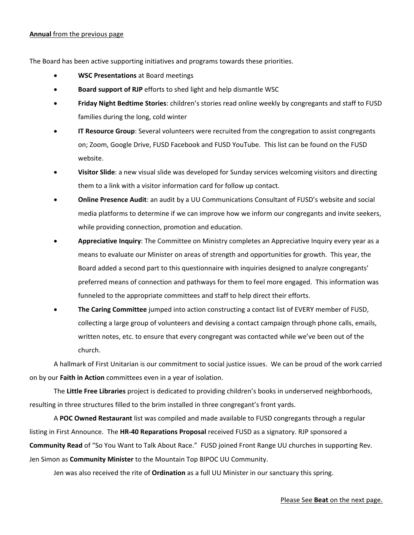### **Annual** from the previous page

The Board has been active supporting initiatives and programs towards these priorities.

- **WSC Presentations** at Board meetings
- **Board support of RJP** efforts to shed light and help dismantle WSC
- **Friday Night Bedtime Stories**: children's stories read online weekly by congregants and staff to FUSD families during the long, cold winter
- **IT Resource Group**: Several volunteers were recruited from the congregation to assist congregants on; Zoom, Google Drive, FUSD Facebook and FUSD YouTube. This list can be found on the FUSD website.
- **Visitor Slide**: a new visual slide was developed for Sunday services welcoming visitors and directing them to a link with a visitor information card for follow up contact.
- **Online Presence Audit**: an audit by a UU Communications Consultant of FUSD's website and social media platforms to determine if we can improve how we inform our congregants and invite seekers, while providing connection, promotion and education.
- **Appreciative Inquiry**: The Committee on Ministry completes an Appreciative Inquiry every year as a means to evaluate our Minister on areas of strength and opportunities for growth. This year, the Board added a second part to this questionnaire with inquiries designed to analyze congregants' preferred means of connection and pathways for them to feel more engaged. This information was funneled to the appropriate committees and staff to help direct their efforts.
- **The Caring Committee** jumped into action constructing a contact list of EVERY member of FUSD, collecting a large group of volunteers and devising a contact campaign through phone calls, emails, written notes, etc. to ensure that every congregant was contacted while we've been out of the church.

A hallmark of First Unitarian is our commitment to social justice issues. We can be proud of the work carried on by our **Faith in Action** committees even in a year of isolation.

The **Little Free Libraries** project is dedicated to providing children's books in underserved neighborhoods, resulting in three structures filled to the brim installed in three congregant's front yards.

A **POC Owned Restaurant** list was compiled and made available to FUSD congregants through a regular listing in First Announce. The **HR-40 Reparations Proposal** received FUSD as a signatory. RJP sponsored a **Community Read** of "So You Want to Talk About Race." FUSD joined Front Range UU churches in supporting Rev. Jen Simon as **Community Minister** to the Mountain Top BIPOC UU Community.

Jen was also received the rite of **Ordination** as a full UU Minister in our sanctuary this spring.

### Please See **Beat** on the next page.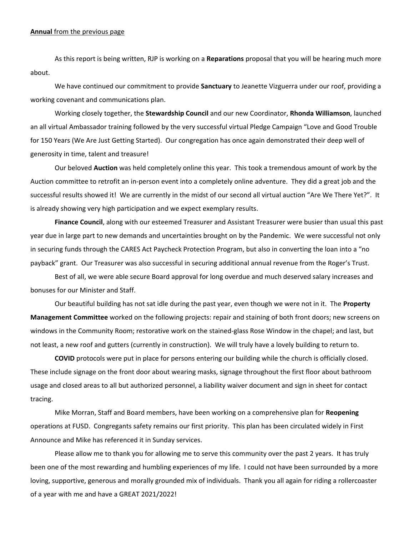#### **Annual** from the previous page

As this report is being written, RJP is working on a **Reparations** proposal that you will be hearing much more about.

We have continued our commitment to provide **Sanctuary** to Jeanette Vizguerra under our roof, providing a working covenant and communications plan.

Working closely together, the **Stewardship Council** and our new Coordinator, **Rhonda Williamson**, launched an all virtual Ambassador training followed by the very successful virtual Pledge Campaign "Love and Good Trouble for 150 Years (We Are Just Getting Started). Our congregation has once again demonstrated their deep well of generosity in time, talent and treasure!

Our beloved **Auction** was held completely online this year. This took a tremendous amount of work by the Auction committee to retrofit an in-person event into a completely online adventure. They did a great job and the successful results showed it! We are currently in the midst of our second all virtual auction "Are We There Yet?". It is already showing very high participation and we expect exemplary results.

**Finance Council**, along with our esteemed Treasurer and Assistant Treasurer were busier than usual this past year due in large part to new demands and uncertainties brought on by the Pandemic. We were successful not only in securing funds through the CARES Act Paycheck Protection Program, but also in converting the loan into a "no payback" grant. Our Treasurer was also successful in securing additional annual revenue from the Roger's Trust.

Best of all, we were able secure Board approval for long overdue and much deserved salary increases and bonuses for our Minister and Staff.

Our beautiful building has not sat idle during the past year, even though we were not in it. The **Property Management Committee** worked on the following projects: repair and staining of both front doors; new screens on windows in the Community Room; restorative work on the stained-glass Rose Window in the chapel; and last, but not least, a new roof and gutters (currently in construction). We will truly have a lovely building to return to.

**COVID** protocols were put in place for persons entering our building while the church is officially closed. These include signage on the front door about wearing masks, signage throughout the first floor about bathroom usage and closed areas to all but authorized personnel, a liability waiver document and sign in sheet for contact tracing.

Mike Morran, Staff and Board members, have been working on a comprehensive plan for **Reopening** operations at FUSD. Congregants safety remains our first priority. This plan has been circulated widely in First Announce and Mike has referenced it in Sunday services.

Please allow me to thank you for allowing me to serve this community over the past 2 years. It has truly been one of the most rewarding and humbling experiences of my life. I could not have been surrounded by a more loving, supportive, generous and morally grounded mix of individuals. Thank you all again for riding a rollercoaster of a year with me and have a GREAT 2021/2022!